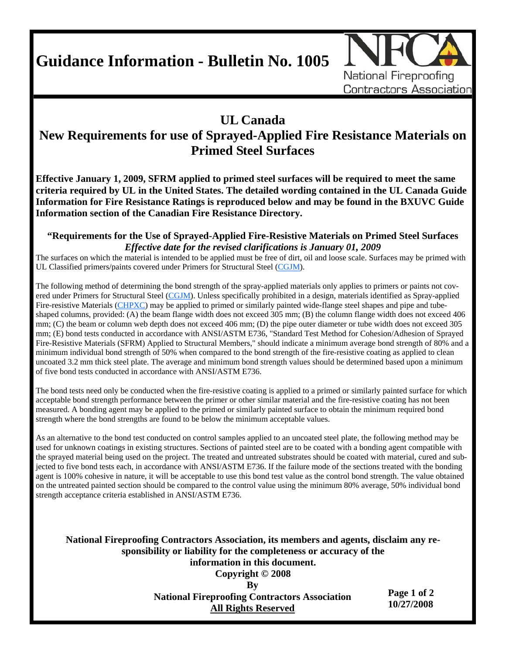**Guidance Information - Bulletin No. 1005** 



## **UL Canada**

## **New Requirements for use of Sprayed-Applied Fire Resistance Materials on Primed Steel Surfaces**

**Effective January 1, 2009, SFRM applied to primed steel surfaces will be required to meet the same criteria required by UL in the United States. The detailed wording contained in the UL Canada Guide Information for Fire Resistance Ratings is reproduced below and may be found in the BXUVC Guide Information section of the Canadian Fire Resistance Directory.** 

## **"Requirements for the Use of Sprayed-Applied Fire-Resistive Materials on Primed Steel Surfaces**  *Effective date for the revised clarifications is January 01, 2009*

The surfaces on which the material is intended to be applied must be free of dirt, oil and loose scale. Surfaces may be primed with UL Classified primers/paints covered under Primers for Structural Steel (CGJM).

The following method of determining the bond strength of the spray-applied materials only applies to primers or paints not covered under Primers for Structural Steel (CGJM). Unless specifically prohibited in a design, materials identified as Spray-applied Fire-resistive Materials (CHPXC) may be applied to primed or similarly painted wide-flange steel shapes and pipe and tubeshaped columns, provided: (A) the beam flange width does not exceed 305 mm; (B) the column flange width does not exceed 406 mm; (C) the beam or column web depth does not exceed 406 mm; (D) the pipe outer diameter or tube width does not exceed 305 mm; (E) bond tests conducted in accordance with ANSI/ASTM E736, "Standard Test Method for Cohesion/Adhesion of Sprayed Fire-Resistive Materials (SFRM) Applied to Structural Members," should indicate a minimum average bond strength of 80% and a minimum individual bond strength of 50% when compared to the bond strength of the fire-resistive coating as applied to clean uncoated 3.2 mm thick steel plate. The average and minimum bond strength values should be determined based upon a minimum of five bond tests conducted in accordance with ANSI/ASTM E736.

The bond tests need only be conducted when the fire-resistive coating is applied to a primed or similarly painted surface for which acceptable bond strength performance between the primer or other similar material and the fire-resistive coating has not been measured. A bonding agent may be applied to the primed or similarly painted surface to obtain the minimum required bond strength where the bond strengths are found to be below the minimum acceptable values.

As an alternative to the bond test conducted on control samples applied to an uncoated steel plate, the following method may be used for unknown coatings in existing structures. Sections of painted steel are to be coated with a bonding agent compatible with the sprayed material being used on the project. The treated and untreated substrates should be coated with material, cured and subjected to five bond tests each, in accordance with ANSI/ASTM E736. If the failure mode of the sections treated with the bonding agent is 100% cohesive in nature, it will be acceptable to use this bond test value as the control bond strength. The value obtained on the untreated painted section should be compared to the control value using the minimum 80% average, 50% individual bond strength acceptance criteria established in ANSI/ASTM E736.

**National Fireproofing Contractors Association, its members and agents, disclaim any responsibility or liability for the completeness or accuracy of the information in this document. Copyright © 2008 By National Fireproofing Contractors Association Page 1 of 2** 

 **All Rights Reserved**

**10/27/2008**